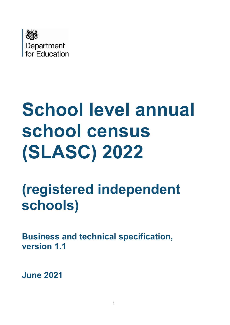

# **School level annual school census (SLASC) 2022**

## **(registered independent schools)**

**Business and technical specification, version 1.1** 

**June 2021**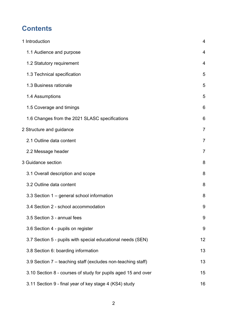## **Contents**

| 1 Introduction                                                | 4              |
|---------------------------------------------------------------|----------------|
| 1.1 Audience and purpose                                      | 4              |
| 1.2 Statutory requirement                                     | 4              |
| 1.3 Technical specification                                   | 5              |
| 1.3 Business rationale                                        | 5              |
| 1.4 Assumptions                                               | 5              |
| 1.5 Coverage and timings                                      | 6              |
| 1.6 Changes from the 2021 SLASC specifications                | 6              |
| 2 Structure and guidance                                      | $\overline{7}$ |
| 2.1 Outline data content                                      | $\overline{7}$ |
| 2.2 Message header                                            | 7              |
| 3 Guidance section                                            | 8              |
| 3.1 Overall description and scope                             | 8              |
| 3.2 Outline data content                                      | 8              |
| 3.3 Section 1 – general school information                    | 8              |
| 3.4 Section 2 - school accommodation                          | 9              |
| 3.5 Section 3 - annual fees                                   | 9              |
| 3.6 Section 4 - pupils on register                            | 9              |
| 3.7 Section 5 - pupils with special educational needs (SEN)   | 12             |
| 3.8 Section 6: boarding information                           | 13             |
| 3.9 Section 7 – teaching staff (excludes non-teaching staff)  | 13             |
| 3.10 Section 8 - courses of study for pupils aged 15 and over | 15             |
| 3.11 Section 9 - final year of key stage 4 (KS4) study        | 16             |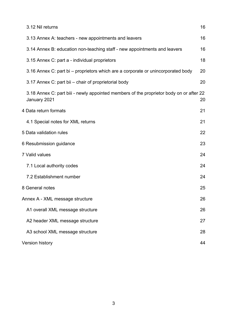| 3.12 Nil returns                                                                                        | 16 |
|---------------------------------------------------------------------------------------------------------|----|
| 3.13 Annex A: teachers - new appointments and leavers                                                   | 16 |
| 3.14 Annex B: education non-teaching staff - new appointments and leavers                               | 16 |
| 3.15 Annex C: part a - individual proprietors                                                           | 18 |
| 3.16 Annex C: part bi – proprietors which are a corporate or unincorporated body                        | 20 |
| 3.17 Annex C: part bil - chair of proprietorial body                                                    | 20 |
| 3.18 Annex C: part bill - newly appointed members of the proprietor body on or after 22<br>January 2021 | 20 |
| 4 Data return formats                                                                                   | 21 |
| 4.1 Special notes for XML returns                                                                       | 21 |
| 5 Data validation rules                                                                                 | 22 |
| 6 Resubmission guidance                                                                                 | 23 |
| 7 Valid values                                                                                          | 24 |
| 7.1 Local authority codes                                                                               | 24 |
| 7.2 Establishment number                                                                                | 24 |
| 8 General notes                                                                                         | 25 |
| Annex A - XML message structure                                                                         | 26 |
| A1 overall XML message structure                                                                        | 26 |
| A2 header XML message structure                                                                         | 27 |
| A3 school XML message structure                                                                         | 28 |
| <b>Version history</b>                                                                                  | 44 |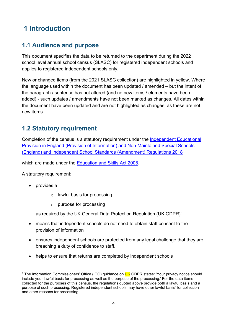## <span id="page-3-0"></span>**1 Introduction**

## <span id="page-3-1"></span>**1.1 Audience and purpose**

This document specifies the data to be returned to the department during the 2022 school level annual school census (SLASC) for registered independent schools and applies to registered independent schools only.

New or changed items (from the 2021 SLASC collection) are highlighted in yellow. Where the language used within the document has been updated / amended – but the intent of the paragraph / sentence has not altered (and no new items / elements have been added) - such updates / amendments have not been marked as changes. All dates within the document have been updated and are not highlighted as changes, as these are not new items.

## <span id="page-3-2"></span>**1.2 Statutory requirement**

Completion of the census is a statutory requirement under the [Independent Educational](http://www.legislation.gov.uk/uksi/2018/901/contents/made)  [Provision in England \(Provision of Information\) and Non-Maintained Special Schools](http://www.legislation.gov.uk/uksi/2018/901/contents/made)  [\(England\) and Independent School Standards \(Amendment\) Regulations 2018](http://www.legislation.gov.uk/uksi/2018/901/contents/made)

which are made under the [Education and Skills Act 2008.](http://www.legislation.gov.uk/ukpga/2008/25/contents)

A statutory requirement:

- provides a
	- o lawful basis for processing
	- o purpose for processing

as required by the UK General Data Protection Regulation (UK GDPR)<sup>1</sup>

- means that independent schools do not need to obtain staff consent to the provision of information
- ensures independent schools are protected from any legal challenge that they are breaching a duty of confidence to staff.
- helps to ensure that returns are completed by independent schools

<span id="page-3-3"></span><sup>&</sup>lt;sup>1</sup> The Information Commissioners' Office (ICO) quidance on **UK** GDPR states: 'Your privacy notice should include your lawful basis for processing as well as the purpose of the processing.' For the data items collected for the purposes of this census, the regulations quoted above provide both a lawful basis and a purpose of such processing. Registered independent schools may have other lawful basis' for collection and other reasons for processing.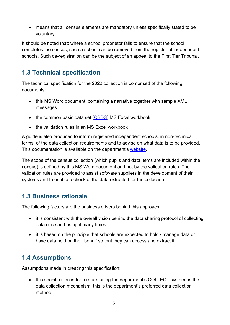• means that all census elements are mandatory unless specifically stated to be voluntary

It should be noted that: where a school proprietor fails to ensure that the school completes the census, such a school can be removed from the register of independent schools. Such de-registration can be the subject of an appeal to the First Tier Tribunal.

## <span id="page-4-0"></span>**1.3 Technical specification**

The technical specification for the 2022 collection is comprised of the following documents:

- this MS Word document, containing a narrative together with sample XML messages
- the common basic data set [\(CBDS\)](https://www.gov.uk/government/publications/common-basic-data-set-cbds-database) MS Excel workbook
- the validation rules in an MS Excel workbook

A guide is also produced to inform registered independent schools, in non-technical terms, of the data collection requirements and to advise on what data is to be provided. This documentation is available on the department's [website.](https://www.gov.uk/guidance/school-level-annual-school-census)

The scope of the census collection (which pupils and data items are included within the census) is defined by this MS Word document and not by the validation rules. The validation rules are provided to assist software suppliers in the development of their systems and to enable a check of the data extracted for the collection.

## <span id="page-4-1"></span>**1.3 Business rationale**

The following factors are the business drivers behind this approach:

- it is consistent with the overall vision behind the data sharing protocol of collecting data once and using it many times
- it is based on the principle that schools are expected to hold / manage data or have data held on their behalf so that they can access and extract it

## <span id="page-4-2"></span>**1.4 Assumptions**

Assumptions made in creating this specification:

• this specification is for a return using the department's COLLECT system as the data collection mechanism; this is the department's preferred data collection method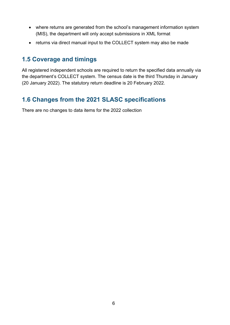- where returns are generated from the school's management information system (MIS), the department will only accept submissions in XML format
- returns via direct manual input to the COLLECT system may also be made

## <span id="page-5-0"></span>**1.5 Coverage and timings**

All registered independent schools are required to return the specified data annually via the department's COLLECT system. The census date is the third Thursday in January (20 January 2022). The statutory return deadline is 20 February 2022.

## <span id="page-5-1"></span>**1.6 Changes from the 2021 SLASC specifications**

There are no changes to data items for the 2022 collection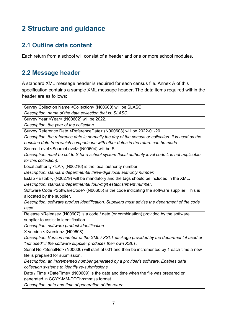## <span id="page-6-0"></span>**2 Structure and guidance**

## <span id="page-6-1"></span>**2.1 Outline data content**

Each return from a school will consist of a header and one or more school modules.

## <span id="page-6-2"></span>**2.2 Message header**

A standard XML message header is required for each census file. Annex A of this specification contains a sample XML message header. The data items required within the header are as follows:

Survey Collection Name <Collection> (N00600) will be SLASC.

*Description: name of the data collection that is: SLASC.* 

Survey Year <Year> (N00602) will be 2022.

*Description: the year of the collection.*

Survey Reference Date <ReferenceDate> (N000603) will be 2022-01-20.

*Description: the reference date is normally the day of the census or collection. It is used as the baseline date from which comparisons with other dates in the return can be made.*

Source Level <SourceLevel> (N00604) will be S.

*Description: must be set to S for a school system (local authority level code L is not applicable for this collection).*

Local authority <LA>, (N00216) is the local authority number.

*Description: standard departmental three-digit local authority number.*

Estab <Estab>, (N00279) will be mandatory and the tags should be included in the XML. *Description: standard departmental four-digit establishment number.*

Software Code <SoftwareCode> (N00605) is the code indicating the software supplier. This is allocated by the supplier.

*Description: software product identification. Suppliers must advise the department of the code used.*

Release <Release> (N00607) is a code / date (or combination) provided by the software supplier to assist in identification.

*Description: software product identification.*

X version <Xversion> (N00608).

*Description: Version number of the XML / XSLT package provided by the department if used or "not used" if the software supplier produces their own XSLT.*

Serial No <SerialNo> (N00606) will start at 001 and then be incremented by 1 each time a new file is prepared for submission.

*Description: an incremented number generated by a provider's software. Enables data collection systems to identify re-submissions.*

Date / Time <DateTime> (N00609) is the date and time when the file was prepared or generated in CCYY-MM-DDThh:mm:ss format.

*Description: date and time of generation of the return.*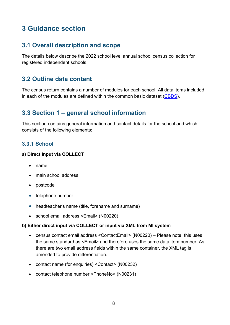## <span id="page-7-0"></span>**3 Guidance section**

## <span id="page-7-1"></span>**3.1 Overall description and scope**

The details below describe the 2022 school level annual school census collection for registered independent schools.

## <span id="page-7-2"></span>**3.2 Outline data content**

The census return contains a number of modules for each school. All data items included in each of the modules are defined within the common basic dataset [\(CBDS\)](https://www.gov.uk/government/publications/common-basic-data-set-cbds-database).

## <span id="page-7-3"></span>**3.3 Section 1 – general school information**

This section contains general information and contact details for the school and which consists of the following elements:

#### **3.3.1 School**

#### **a) Direct input via COLLECT**

- name
- main school address
- postcode
- telephone number
- headteacher's name (title, forename and surname)
- school email address <Email> (N00220)

#### **b) Either direct input via COLLECT or input via XML from MI system**

- census contact email address <ContactEmail> (N00220) Please note: this uses the same standard as <Email> and therefore uses the same data item number. As there are two email address fields within the same container, the XML tag is amended to provide differentiation.
- contact name (for enquiries) <Contact> (N00232)
- contact telephone number <PhoneNo> (N00231)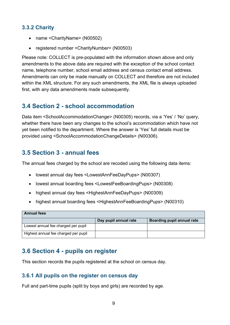#### **3.3.2 Charity**

- name <CharityName> (N00502)
- registered number <CharityNumber> (N00503)

Please note: COLLECT is pre-populated with the information shown above and only amendments to the above data are required with the exception of the school contact name, telephone number, school email address and census contact email address. Amendments can only be made manually on COLLECT and therefore are not included within the XML structure. For any such amendments, the XML file is always uploaded first, with any data amendments made subsequently.

## <span id="page-8-0"></span>**3.4 Section 2 - school accommodation**

Data item <SchoolAccommodationChange> (N00305) records, via a 'Yes' / 'No' query, whether there have been any changes to the school's accommodation which have not yet been notified to the department. Where the answer is 'Yes' full details must be provided using <SchoolAccommodationChangeDetails> (N00306).

## <span id="page-8-1"></span>**3.5 Section 3 - annual fees**

The annual fees charged by the school are recoded using the following data items:

- lowest annual day fees <LowestAnnFeeDayPups> (N00307)
- lowest annual boarding fees <LowestFeeBoardingPups> (N00308)
- highest annual day fees <HighestAnnFeeDayPups> (N00309)
- highest annual boarding fees <HighestAnnFeeBoardingPups> (N00310)

| <b>Annual fees</b>                   |                       |                            |
|--------------------------------------|-----------------------|----------------------------|
|                                      | Day pupil annual rate | Boarding pupil annual rate |
| Lowest annual fee charged per pupil  |                       |                            |
| Highest annual fee charged per pupil |                       |                            |

## <span id="page-8-2"></span>**3.6 Section 4 - pupils on register**

This section records the pupils registered at the school on census day.

#### **3.6.1 All pupils on the register on census day**

Full and part-time pupils (split by boys and girls) are recorded by age.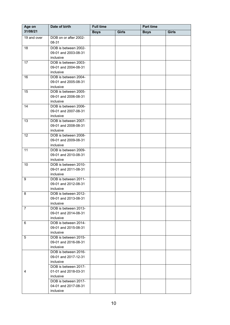<span id="page-9-0"></span>

| 31/08/21<br><b>Boys</b><br><b>Girls</b><br><b>Girls</b><br><b>Boys</b><br>19 and over<br>DOB on or after 2002-<br>08-31<br>DOB is between 2002-<br>18<br>09-01 and 2003-08-31<br>inclusive<br>DOB is between 2003-<br>17<br>09-01 and 2004-08-31<br>inclusive<br>16<br>DOB is between 2004-<br>09-01 and 2005-08-31<br>inclusive<br>15<br>DOB is between 2005-<br>09-01 and 2006-08-31<br>inclusive<br>14<br>DOB is between 2006-<br>09-01 and 2007-08-31<br>inclusive<br>13<br>DOB is between 2007-<br>09-01 and 2008-08-31<br>inclusive<br>DOB is between 2008-<br>12<br>09-01 and 2009-08-31<br>inclusive<br>DOB is between 2009-<br>11<br>09-01 and 2010-08-31<br>inclusive<br>DOB is between 2010-<br>10<br>09-01 and 2011-08-31<br>inclusive<br>DOB is between 2011-<br>9<br>09-01 and 2012-08-31<br>inclusive<br>8<br>DOB is between 2012-<br>09-01 and 2013-08-31<br>inclusive<br>DOB is between 2013-<br>$\overline{7}$<br>09-01 and 2014-08-31<br>inclusive<br>DOB is between 2014-<br>6<br>09-01 and 2015-08-31<br>inclusive<br>5<br>DOB is between 2015-<br>09-01 and 2016-08-31<br>inclusive<br>DOB is between 2016-<br>09-01 and 2017-12-31<br>inclusive<br>DOB is between 2017-<br>01-01 and 2018-03-31<br>4<br>inclusive<br>DOB is between 2017-<br>04-01 and 2017-08-31<br>inclusive | Age on | Date of birth | <b>Full time</b> |  | Part time |  |
|-------------------------------------------------------------------------------------------------------------------------------------------------------------------------------------------------------------------------------------------------------------------------------------------------------------------------------------------------------------------------------------------------------------------------------------------------------------------------------------------------------------------------------------------------------------------------------------------------------------------------------------------------------------------------------------------------------------------------------------------------------------------------------------------------------------------------------------------------------------------------------------------------------------------------------------------------------------------------------------------------------------------------------------------------------------------------------------------------------------------------------------------------------------------------------------------------------------------------------------------------------------------------------------------------------|--------|---------------|------------------|--|-----------|--|
|                                                                                                                                                                                                                                                                                                                                                                                                                                                                                                                                                                                                                                                                                                                                                                                                                                                                                                                                                                                                                                                                                                                                                                                                                                                                                                       |        |               |                  |  |           |  |
|                                                                                                                                                                                                                                                                                                                                                                                                                                                                                                                                                                                                                                                                                                                                                                                                                                                                                                                                                                                                                                                                                                                                                                                                                                                                                                       |        |               |                  |  |           |  |
|                                                                                                                                                                                                                                                                                                                                                                                                                                                                                                                                                                                                                                                                                                                                                                                                                                                                                                                                                                                                                                                                                                                                                                                                                                                                                                       |        |               |                  |  |           |  |
|                                                                                                                                                                                                                                                                                                                                                                                                                                                                                                                                                                                                                                                                                                                                                                                                                                                                                                                                                                                                                                                                                                                                                                                                                                                                                                       |        |               |                  |  |           |  |
|                                                                                                                                                                                                                                                                                                                                                                                                                                                                                                                                                                                                                                                                                                                                                                                                                                                                                                                                                                                                                                                                                                                                                                                                                                                                                                       |        |               |                  |  |           |  |
|                                                                                                                                                                                                                                                                                                                                                                                                                                                                                                                                                                                                                                                                                                                                                                                                                                                                                                                                                                                                                                                                                                                                                                                                                                                                                                       |        |               |                  |  |           |  |
|                                                                                                                                                                                                                                                                                                                                                                                                                                                                                                                                                                                                                                                                                                                                                                                                                                                                                                                                                                                                                                                                                                                                                                                                                                                                                                       |        |               |                  |  |           |  |
|                                                                                                                                                                                                                                                                                                                                                                                                                                                                                                                                                                                                                                                                                                                                                                                                                                                                                                                                                                                                                                                                                                                                                                                                                                                                                                       |        |               |                  |  |           |  |
|                                                                                                                                                                                                                                                                                                                                                                                                                                                                                                                                                                                                                                                                                                                                                                                                                                                                                                                                                                                                                                                                                                                                                                                                                                                                                                       |        |               |                  |  |           |  |
|                                                                                                                                                                                                                                                                                                                                                                                                                                                                                                                                                                                                                                                                                                                                                                                                                                                                                                                                                                                                                                                                                                                                                                                                                                                                                                       |        |               |                  |  |           |  |
|                                                                                                                                                                                                                                                                                                                                                                                                                                                                                                                                                                                                                                                                                                                                                                                                                                                                                                                                                                                                                                                                                                                                                                                                                                                                                                       |        |               |                  |  |           |  |
|                                                                                                                                                                                                                                                                                                                                                                                                                                                                                                                                                                                                                                                                                                                                                                                                                                                                                                                                                                                                                                                                                                                                                                                                                                                                                                       |        |               |                  |  |           |  |
|                                                                                                                                                                                                                                                                                                                                                                                                                                                                                                                                                                                                                                                                                                                                                                                                                                                                                                                                                                                                                                                                                                                                                                                                                                                                                                       |        |               |                  |  |           |  |
|                                                                                                                                                                                                                                                                                                                                                                                                                                                                                                                                                                                                                                                                                                                                                                                                                                                                                                                                                                                                                                                                                                                                                                                                                                                                                                       |        |               |                  |  |           |  |
|                                                                                                                                                                                                                                                                                                                                                                                                                                                                                                                                                                                                                                                                                                                                                                                                                                                                                                                                                                                                                                                                                                                                                                                                                                                                                                       |        |               |                  |  |           |  |
|                                                                                                                                                                                                                                                                                                                                                                                                                                                                                                                                                                                                                                                                                                                                                                                                                                                                                                                                                                                                                                                                                                                                                                                                                                                                                                       |        |               |                  |  |           |  |
|                                                                                                                                                                                                                                                                                                                                                                                                                                                                                                                                                                                                                                                                                                                                                                                                                                                                                                                                                                                                                                                                                                                                                                                                                                                                                                       |        |               |                  |  |           |  |
|                                                                                                                                                                                                                                                                                                                                                                                                                                                                                                                                                                                                                                                                                                                                                                                                                                                                                                                                                                                                                                                                                                                                                                                                                                                                                                       |        |               |                  |  |           |  |
|                                                                                                                                                                                                                                                                                                                                                                                                                                                                                                                                                                                                                                                                                                                                                                                                                                                                                                                                                                                                                                                                                                                                                                                                                                                                                                       |        |               |                  |  |           |  |
|                                                                                                                                                                                                                                                                                                                                                                                                                                                                                                                                                                                                                                                                                                                                                                                                                                                                                                                                                                                                                                                                                                                                                                                                                                                                                                       |        |               |                  |  |           |  |
|                                                                                                                                                                                                                                                                                                                                                                                                                                                                                                                                                                                                                                                                                                                                                                                                                                                                                                                                                                                                                                                                                                                                                                                                                                                                                                       |        |               |                  |  |           |  |
|                                                                                                                                                                                                                                                                                                                                                                                                                                                                                                                                                                                                                                                                                                                                                                                                                                                                                                                                                                                                                                                                                                                                                                                                                                                                                                       |        |               |                  |  |           |  |
|                                                                                                                                                                                                                                                                                                                                                                                                                                                                                                                                                                                                                                                                                                                                                                                                                                                                                                                                                                                                                                                                                                                                                                                                                                                                                                       |        |               |                  |  |           |  |
|                                                                                                                                                                                                                                                                                                                                                                                                                                                                                                                                                                                                                                                                                                                                                                                                                                                                                                                                                                                                                                                                                                                                                                                                                                                                                                       |        |               |                  |  |           |  |
|                                                                                                                                                                                                                                                                                                                                                                                                                                                                                                                                                                                                                                                                                                                                                                                                                                                                                                                                                                                                                                                                                                                                                                                                                                                                                                       |        |               |                  |  |           |  |
|                                                                                                                                                                                                                                                                                                                                                                                                                                                                                                                                                                                                                                                                                                                                                                                                                                                                                                                                                                                                                                                                                                                                                                                                                                                                                                       |        |               |                  |  |           |  |
|                                                                                                                                                                                                                                                                                                                                                                                                                                                                                                                                                                                                                                                                                                                                                                                                                                                                                                                                                                                                                                                                                                                                                                                                                                                                                                       |        |               |                  |  |           |  |
|                                                                                                                                                                                                                                                                                                                                                                                                                                                                                                                                                                                                                                                                                                                                                                                                                                                                                                                                                                                                                                                                                                                                                                                                                                                                                                       |        |               |                  |  |           |  |
|                                                                                                                                                                                                                                                                                                                                                                                                                                                                                                                                                                                                                                                                                                                                                                                                                                                                                                                                                                                                                                                                                                                                                                                                                                                                                                       |        |               |                  |  |           |  |
|                                                                                                                                                                                                                                                                                                                                                                                                                                                                                                                                                                                                                                                                                                                                                                                                                                                                                                                                                                                                                                                                                                                                                                                                                                                                                                       |        |               |                  |  |           |  |
|                                                                                                                                                                                                                                                                                                                                                                                                                                                                                                                                                                                                                                                                                                                                                                                                                                                                                                                                                                                                                                                                                                                                                                                                                                                                                                       |        |               |                  |  |           |  |
|                                                                                                                                                                                                                                                                                                                                                                                                                                                                                                                                                                                                                                                                                                                                                                                                                                                                                                                                                                                                                                                                                                                                                                                                                                                                                                       |        |               |                  |  |           |  |
|                                                                                                                                                                                                                                                                                                                                                                                                                                                                                                                                                                                                                                                                                                                                                                                                                                                                                                                                                                                                                                                                                                                                                                                                                                                                                                       |        |               |                  |  |           |  |
|                                                                                                                                                                                                                                                                                                                                                                                                                                                                                                                                                                                                                                                                                                                                                                                                                                                                                                                                                                                                                                                                                                                                                                                                                                                                                                       |        |               |                  |  |           |  |
|                                                                                                                                                                                                                                                                                                                                                                                                                                                                                                                                                                                                                                                                                                                                                                                                                                                                                                                                                                                                                                                                                                                                                                                                                                                                                                       |        |               |                  |  |           |  |
|                                                                                                                                                                                                                                                                                                                                                                                                                                                                                                                                                                                                                                                                                                                                                                                                                                                                                                                                                                                                                                                                                                                                                                                                                                                                                                       |        |               |                  |  |           |  |
|                                                                                                                                                                                                                                                                                                                                                                                                                                                                                                                                                                                                                                                                                                                                                                                                                                                                                                                                                                                                                                                                                                                                                                                                                                                                                                       |        |               |                  |  |           |  |
|                                                                                                                                                                                                                                                                                                                                                                                                                                                                                                                                                                                                                                                                                                                                                                                                                                                                                                                                                                                                                                                                                                                                                                                                                                                                                                       |        |               |                  |  |           |  |
|                                                                                                                                                                                                                                                                                                                                                                                                                                                                                                                                                                                                                                                                                                                                                                                                                                                                                                                                                                                                                                                                                                                                                                                                                                                                                                       |        |               |                  |  |           |  |
|                                                                                                                                                                                                                                                                                                                                                                                                                                                                                                                                                                                                                                                                                                                                                                                                                                                                                                                                                                                                                                                                                                                                                                                                                                                                                                       |        |               |                  |  |           |  |
|                                                                                                                                                                                                                                                                                                                                                                                                                                                                                                                                                                                                                                                                                                                                                                                                                                                                                                                                                                                                                                                                                                                                                                                                                                                                                                       |        |               |                  |  |           |  |
|                                                                                                                                                                                                                                                                                                                                                                                                                                                                                                                                                                                                                                                                                                                                                                                                                                                                                                                                                                                                                                                                                                                                                                                                                                                                                                       |        |               |                  |  |           |  |
|                                                                                                                                                                                                                                                                                                                                                                                                                                                                                                                                                                                                                                                                                                                                                                                                                                                                                                                                                                                                                                                                                                                                                                                                                                                                                                       |        |               |                  |  |           |  |
|                                                                                                                                                                                                                                                                                                                                                                                                                                                                                                                                                                                                                                                                                                                                                                                                                                                                                                                                                                                                                                                                                                                                                                                                                                                                                                       |        |               |                  |  |           |  |
|                                                                                                                                                                                                                                                                                                                                                                                                                                                                                                                                                                                                                                                                                                                                                                                                                                                                                                                                                                                                                                                                                                                                                                                                                                                                                                       |        |               |                  |  |           |  |
|                                                                                                                                                                                                                                                                                                                                                                                                                                                                                                                                                                                                                                                                                                                                                                                                                                                                                                                                                                                                                                                                                                                                                                                                                                                                                                       |        |               |                  |  |           |  |
|                                                                                                                                                                                                                                                                                                                                                                                                                                                                                                                                                                                                                                                                                                                                                                                                                                                                                                                                                                                                                                                                                                                                                                                                                                                                                                       |        |               |                  |  |           |  |
|                                                                                                                                                                                                                                                                                                                                                                                                                                                                                                                                                                                                                                                                                                                                                                                                                                                                                                                                                                                                                                                                                                                                                                                                                                                                                                       |        |               |                  |  |           |  |
|                                                                                                                                                                                                                                                                                                                                                                                                                                                                                                                                                                                                                                                                                                                                                                                                                                                                                                                                                                                                                                                                                                                                                                                                                                                                                                       |        |               |                  |  |           |  |
|                                                                                                                                                                                                                                                                                                                                                                                                                                                                                                                                                                                                                                                                                                                                                                                                                                                                                                                                                                                                                                                                                                                                                                                                                                                                                                       |        |               |                  |  |           |  |
|                                                                                                                                                                                                                                                                                                                                                                                                                                                                                                                                                                                                                                                                                                                                                                                                                                                                                                                                                                                                                                                                                                                                                                                                                                                                                                       |        |               |                  |  |           |  |
|                                                                                                                                                                                                                                                                                                                                                                                                                                                                                                                                                                                                                                                                                                                                                                                                                                                                                                                                                                                                                                                                                                                                                                                                                                                                                                       |        |               |                  |  |           |  |
|                                                                                                                                                                                                                                                                                                                                                                                                                                                                                                                                                                                                                                                                                                                                                                                                                                                                                                                                                                                                                                                                                                                                                                                                                                                                                                       |        |               |                  |  |           |  |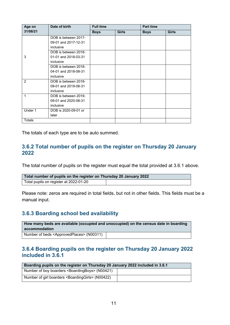| Date of birth<br>Age on |                      | <b>Full time</b> |              | <b>Part time</b> |              |
|-------------------------|----------------------|------------------|--------------|------------------|--------------|
| 31/08/21                |                      | <b>Boys</b>      | <b>Girls</b> | <b>Boys</b>      | <b>Girls</b> |
|                         | DOB is between 2017- |                  |              |                  |              |
|                         | 09-01 and 2017-12-31 |                  |              |                  |              |
|                         | inclusive            |                  |              |                  |              |
|                         | DOB is between 2018- |                  |              |                  |              |
| 3                       | 01-01 and 2018-03-31 |                  |              |                  |              |
|                         | inclusive            |                  |              |                  |              |
|                         | DOB is between 2018- |                  |              |                  |              |
|                         | 04-01 and 2018-08-31 |                  |              |                  |              |
|                         | inclusive            |                  |              |                  |              |
| 2                       | DOB is between 2018- |                  |              |                  |              |
|                         | 09-01 and 2019-08-31 |                  |              |                  |              |
|                         | inclusive            |                  |              |                  |              |
| 1                       | DOB is between 2019- |                  |              |                  |              |
|                         | 09-01 and 2020-08-31 |                  |              |                  |              |
|                         | inclusive            |                  |              |                  |              |
| Under 1                 | DOB is 2020-09-01 or |                  |              |                  |              |
|                         | later                |                  |              |                  |              |
| <b>Totals</b>           |                      |                  |              |                  |              |

The totals of each type are to be auto summed.

#### **3.6.2 Total number of pupils on the register on Thursday 20 January 2022**

The total number of pupils on the register must equal the total provided at 3.6.1 above.

| Total number of pupils on the register on Thursday 20 January 2022 |  |
|--------------------------------------------------------------------|--|
| Total pupils on register at 2022-01-20                             |  |

Please note: zeros are required in total fields, but not in other fields. This fields must be a manual input.

#### **3.6.3 Boarding school bed availability**

**How many beds are available (occupied and unoccupied) on the census date in boarding accommodation**  Number of beds <ApprovedPlaces> (N00311)

#### **3.6.4 Boarding pupils on the register on Thursday 20 January 2022 included in 3.6.1**

| Boarding pupils on the register on Thursday 20 January 2022 included in 3.6.1 |  |  |
|-------------------------------------------------------------------------------|--|--|
| Number of boy boarders <boardingboys> (N00421)</boardingboys>                 |  |  |
| Number of girl boarders <boardinggirls> (N00422)</boardinggirls>              |  |  |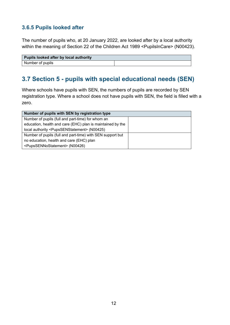#### **3.6.5 Pupils looked after**

The number of pupils who, at 20 January 2022, are looked after by a local authority within the meaning of Section 22 of the Children Act 1989 <PupilsInCare> (N00423).

| Pupils looked after by local authority |  |
|----------------------------------------|--|
| Number of pupils                       |  |

## <span id="page-11-0"></span>**3.7 Section 5 - pupils with special educational needs (SEN)**

Where schools have pupils with SEN, the numbers of pupils are recorded by SEN registration type. Where a school does not have pupils with SEN, the field is filled with a zero.

| Number of pupils with SEN by registration type                 |  |
|----------------------------------------------------------------|--|
| Number of pupils (full and part-time) for whom an              |  |
| education, health and care (EHC) plan is maintained by the     |  |
| local authority <pupssenstatement> (N00425)</pupssenstatement> |  |
| Number of pupils (full and part-time) with SEN support but     |  |
| no education, health and care (EHC) plan                       |  |
| <pupssennostatement> (N00426)</pupssennostatement>             |  |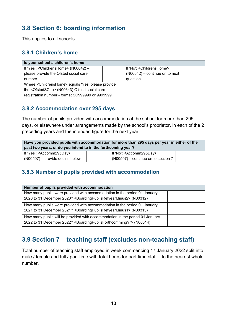## <span id="page-12-0"></span>**3.8 Section 6: boarding information**

This applies to all schools.

#### **3.8.1 Children's home**

| Is your school a children's home                                  |  |                                  |  |
|-------------------------------------------------------------------|--|----------------------------------|--|
| If 'Yes': < ChildrensHome> (N00642) -                             |  | If 'No': < Childrens Home>       |  |
| please provide the Ofsted social care                             |  | $(NO0642)$ – continue on to next |  |
| number                                                            |  | question                         |  |
| Where <childrenshome> equals 'Yes' please provide</childrenshome> |  |                                  |  |
| the <ofstedscno> (N00643) Ofsted social care</ofstedscno>         |  |                                  |  |
| registration number - format SC999999 or 9999999                  |  |                                  |  |

#### **3.8.2 Accommodation over 295 days**

The number of pupils provided with accommodation at the school for more than 295 days, or elsewhere under arrangements made by the school's proprietor, in each of the 2 preceding years and the intended figure for the next year.

| Have you provided pupils with accommodation for more than 295 days per year in either of the<br>past two years, or do you intend to in the forthcoming year? |                            |  |  |
|--------------------------------------------------------------------------------------------------------------------------------------------------------------|----------------------------|--|--|
| If 'Yes': <accomm295day></accomm295day>                                                                                                                      | If 'No': $<$ Accomm295Day> |  |  |
| $\vert$ (N00507) – provide details below<br>$(NO0507)$ – continue on to section 7                                                                            |                            |  |  |

#### **3.8.3 Number of pupils provided with accommodation**

| Number of pupils provided with accommodation                                                     |  |
|--------------------------------------------------------------------------------------------------|--|
| How many pupils were provided with accommodation in the period 01 January                        |  |
| 2020 to 31 December 2020? <boardingpupilsrefyearminus2> (N00312)</boardingpupilsrefyearminus2>   |  |
| How many pupils were provided with accommodation in the period 01 January                        |  |
| 2021 to 31 December 2021? <boardingpupilsrefyearminus1> (N00313)</boardingpupilsrefyearminus1>   |  |
| How many pupils will be provided with accommodation in the period 01 January                     |  |
| 2022 to 31 December 2022? <boardingpupilsforthcommingyr> (N00314)</boardingpupilsforthcommingyr> |  |

## <span id="page-12-1"></span>**3.9 Section 7 – teaching staff (excludes non-teaching staff)**

Total number of teaching staff employed in week commencing 17 January 2022 split into male / female and full / part-time with total hours for part time staff – to the nearest whole number.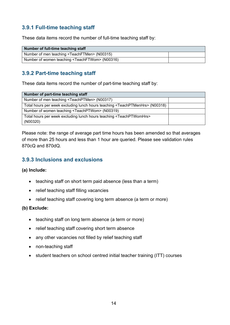#### **3.9.1 Full-time teaching staff**

These data items record the number of full-time teaching staff by:

| Number of full-time teaching staff                          |  |
|-------------------------------------------------------------|--|
| Number of men teaching <teachftmen> (N00315)</teachftmen>   |  |
| Number of women teaching <teachftwom> (N00316)</teachftwom> |  |

#### **3.9.2 Part-time teaching staff**

These data items record the number of part-time teaching staff by:

| Number of part-time teaching staff                                                           |  |
|----------------------------------------------------------------------------------------------|--|
| Number of men teaching <teachptmen> (N00317)</teachptmen>                                    |  |
| Total hours per week excluding lunch hours teaching <teachptmenhrs> (N00318)</teachptmenhrs> |  |
| Number of women teaching <teachptwom> (N00319)</teachptwom>                                  |  |
| Total hours per week excluding lunch hours teaching <teachptwomhrs></teachptwomhrs>          |  |
| (NO0320)                                                                                     |  |

Please note: the range of average part time hours has been amended so that averages of more than 25 hours and less than 1 hour are queried. Please see validation rules 870cQ and 870dQ.

#### **3.9.3 Inclusions and exclusions**

#### **(a) Include:**

- teaching staff on short term paid absence (less than a term)
- relief teaching staff filling vacancies
- relief teaching staff covering long term absence (a term or more)

#### **(b) Exclude:**

- teaching staff on long term absence (a term or more)
- relief teaching staff covering short term absence
- any other vacancies not filled by relief teaching staff
- non-teaching staff
- student teachers on school centred initial teacher training (ITT) courses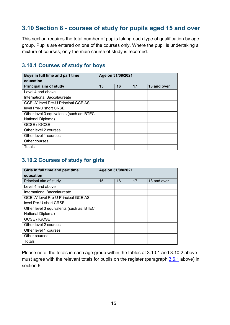## <span id="page-14-0"></span>**3.10 Section 8 - courses of study for pupils aged 15 and over**

This section requires the total number of pupils taking each type of qualification by age group. Pupils are entered on one of the courses only. Where the pupil is undertaking a mixture of courses, only the main course of study is recorded.

#### **3.10.1 Courses of study for boys**

| Boys in full time and part time<br>education | Age on 31/08/2021 |    |    |             |
|----------------------------------------------|-------------------|----|----|-------------|
| Principal aim of study                       | 15                | 16 | 17 | 18 and over |
| Level 4 and above                            |                   |    |    |             |
| International Baccalaureate                  |                   |    |    |             |
| GCE 'A' level Pre-U Principal GCE AS         |                   |    |    |             |
| level Pre-U short CRSE                       |                   |    |    |             |
| Other level 3 equivalents (such as: BTEC     |                   |    |    |             |
| National Diploma)                            |                   |    |    |             |
| GCSE / IGCSE                                 |                   |    |    |             |
| Other level 2 courses                        |                   |    |    |             |
| Other level 1 courses                        |                   |    |    |             |
| Other courses                                |                   |    |    |             |
| Totals                                       |                   |    |    |             |

#### **3.10.2 Courses of study for girls**

| Girls in full time and part time<br>education |    | Age on 31/08/2021 |    |             |
|-----------------------------------------------|----|-------------------|----|-------------|
| Principal aim of study                        | 15 | 16                | 17 | 18 and over |
| Level 4 and above                             |    |                   |    |             |
| International Baccalaureate                   |    |                   |    |             |
| GCE 'A' level Pre-U Principal GCE AS          |    |                   |    |             |
| level Pre-U short CRSE                        |    |                   |    |             |
| Other level 3 equivalents (such as: BTEC      |    |                   |    |             |
| National Diploma)                             |    |                   |    |             |
| GCSE / IGCSE                                  |    |                   |    |             |
| Other level 2 courses                         |    |                   |    |             |
| Other level 1 courses                         |    |                   |    |             |
| Other courses                                 |    |                   |    |             |
| Totals                                        |    |                   |    |             |

Please note: the totals in each age group within the tables at 3.10.1 and 3.10.2 above must agree with the relevant totals for pupils on the register (paragraph [3.6.1](#page-9-0) above) in section 6.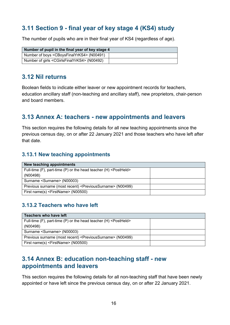## <span id="page-15-0"></span>**3.11 Section 9 - final year of key stage 4 (KS4) study**

The number of pupils who are in their final year of KS4 (regardless of age).

| Number of pupil in the final year of key stage 4               |  |
|----------------------------------------------------------------|--|
| Number of boys <cboysfinalyrks4> (N00491)</cboysfinalyrks4>    |  |
| Number of girls <cgirlsfinalyrks4> (N00492)</cgirlsfinalyrks4> |  |

#### <span id="page-15-1"></span>**3.12 Nil returns**

Boolean fields to indicate either leaver or new appointment records for teachers, education ancillary staff (non-teaching and ancillary staff), new proprietors, chair-person and board members.

## <span id="page-15-2"></span>**3.13 Annex A: teachers - new appointments and leavers**

This section requires the following details for all new teaching appointments since the previous census day, on or after 22 January 2021 and those teachers who have left after that date.

#### **3.13.1 New teaching appointments**

| New teaching appointments                                                   |  |
|-----------------------------------------------------------------------------|--|
| Full-time (F), part-time (P) or the head teacher (H) <postheld></postheld>  |  |
| (NO0498)                                                                    |  |
| Surname <surname> (N00003)</surname>                                        |  |
| Previous surname (most recent) <previoussurname> (N00499)</previoussurname> |  |
| First name(s) <firstname> (N00500)</firstname>                              |  |

#### **3.13.2 Teachers who have left**

| Teachers who have left                                                      |  |
|-----------------------------------------------------------------------------|--|
| Full-time (F), part-time (P) or the head teacher (H) <postheld></postheld>  |  |
| (NO0498)                                                                    |  |
| Surname <surname> (N00003)</surname>                                        |  |
| Previous surname (most recent) <previoussurname> (N00499)</previoussurname> |  |
| First name(s) <firstname> (N00500)</firstname>                              |  |

## <span id="page-15-3"></span>**3.14 Annex B: education non-teaching staff - new appointments and leavers**

This section requires the following details for all non-teaching staff that have been newly appointed or have left since the previous census day, on or after 22 January 2021.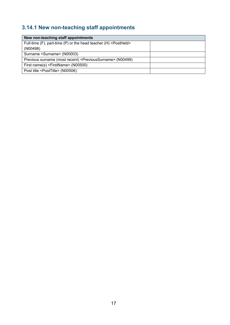## **3.14.1 New non-teaching staff appointments**

| New non-teaching staff appointments                                         |  |
|-----------------------------------------------------------------------------|--|
| Full-time (F), part-time (P) or the head teacher (H) <postheld></postheld>  |  |
| (NO0498)                                                                    |  |
| Surname <surname> (N00003)</surname>                                        |  |
| Previous surname (most recent) <previoussurname> (N00499)</previoussurname> |  |
| First name(s) <firstname> (N00500)</firstname>                              |  |
| Post title <posttitle> (N00506)</posttitle>                                 |  |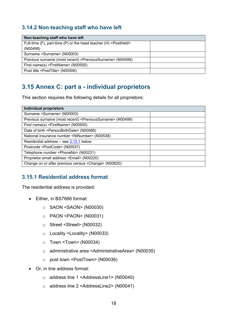#### **3.14.2 Non-teaching staff who have left**

| Non-teaching staff who have left                                            |  |
|-----------------------------------------------------------------------------|--|
| Full-time (F), part-time (P) or the head teacher (H) <postheld></postheld>  |  |
| (NO0498)                                                                    |  |
| Surname <surname> (N00003)</surname>                                        |  |
| Previous surname (most recent) <previoussurname> (N00499)</previoussurname> |  |
| First name(s) <firstname> (N00500)</firstname>                              |  |
| Post title <posttitle> (N00506)</posttitle>                                 |  |

## <span id="page-17-0"></span>**3.15 Annex C: part a - individual proprietors**

This section requires the following details for all proprietors:

| <b>Individual proprietors</b>                                               |  |
|-----------------------------------------------------------------------------|--|
| Surname <surname> (N00003)</surname>                                        |  |
| Previous surname (most recent) <previoussurname> (N00499)</previoussurname> |  |
| First name(s) <firstname> (N00500)</firstname>                              |  |
| Date of birth <personbirthdate> (N00066)</personbirthdate>                  |  |
| National insurance number <ninumber> (N00538)</ninumber>                    |  |
| Residential address – see $3.15.1$ below                                    |  |
| Postcode <postcode> (N00037)</postcode>                                     |  |
| Telephone number <phoneno> (N00231)</phoneno>                               |  |
| Proprietor email address <email> (N00220)</email>                           |  |
| Change on or after previous census <change> (N00620)</change>               |  |

#### <span id="page-17-1"></span>**3.15.1 Residential address format**

The residential address is provided:

- Either, in BS7666 format:
	- o SAON <SAON> (N00030)
	- o PAON <PAON> (N00031)
	- o Street <Street> (N00032)
	- o Locality <Locality> (N00033)
	- o Town <Town> (N00034)
	- o administrative area <AdministrativeArea> (N00035)
	- o post town <PostTown> (N00036)
- Or, in line address format:
	- o address line 1 <AddressLine1> (N00040)
	- o address line 2 <AddressLine2> (N00041)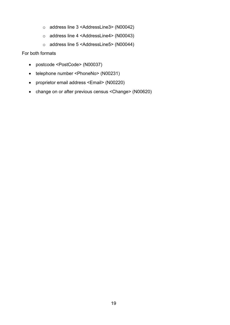- o address line 3 <AddressLine3> (N00042)
- o address line 4 <AddressLine4> (N00043)
- o address line 5 <AddressLine5> (N00044)

For both formats

- postcode <PostCode> (N00037)
- telephone number <PhoneNo> (N00231)
- proprietor email address <Email> (N00220)
- change on or after previous census <Change> (N00620)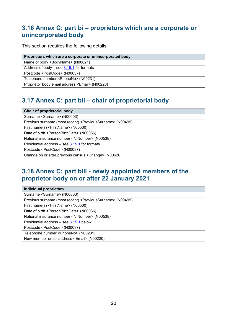## <span id="page-19-0"></span>**3.16 Annex C: part bi – proprietors which are a corporate or unincorporated body**

This section requires the following details:

| Proprietors which are a corporate or unincorporated body |  |
|----------------------------------------------------------|--|
| Name of body <bodyname> (N00621)</bodyname>              |  |
| Address of body $-$ see 3.15.1 for formats               |  |
| Postcode <postcode> (N00037)</postcode>                  |  |
| Telephone number <phoneno> (N00231)</phoneno>            |  |
| Proprietor body email address <email> (N00220)</email>   |  |

## <span id="page-19-1"></span>**3.17 Annex C: part bii – chair of proprietorial body**

| Chair of proprietorial body                                                 |  |
|-----------------------------------------------------------------------------|--|
| Surname <surname> (N00003)</surname>                                        |  |
| Previous surname (most recent) <previoussurname> (N00499)</previoussurname> |  |
| First name(s) <firstname> (N00500)</firstname>                              |  |
| Date of birth <personbirthdate> (N00066)</personbirthdate>                  |  |
| National insurance number <ninumber> (N00538)</ninumber>                    |  |
| Residential address – see 3.15.1 for formats                                |  |
| Postcode <postcode> (N00037)</postcode>                                     |  |
| Change on or after previous census <change> (N00620)</change>               |  |

## <span id="page-19-2"></span>**3.18 Annex C: part biii - newly appointed members of the proprietor body on or after 22 January 2021**

| <b>Individual proprietors</b>                                               |  |
|-----------------------------------------------------------------------------|--|
| Surname <surname> (N00003)</surname>                                        |  |
| Previous surname (most recent) <previoussurname> (N00499)</previoussurname> |  |
| First name(s) <firstname> (N00500)</firstname>                              |  |
| Date of birth <personbirthdate> (N00066)</personbirthdate>                  |  |
| National insurance number <ninumber> (N00538)</ninumber>                    |  |
| Residential address - see $3.15.1$ below                                    |  |
| Postcode <postcode> (N00037)</postcode>                                     |  |
| Telephone number <phoneno> (N00231)</phoneno>                               |  |
| New member email address <email> (N00220)</email>                           |  |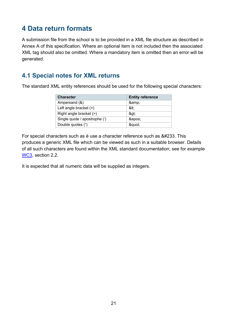## <span id="page-20-0"></span>**4 Data return formats**

A submission file from the school is to be provided in a XML file structure as described in Annex A of this specification. Where an optional item is not included then the associated XML tag should also be omitted. Where a mandatory item is omitted then an error will be generated.

## <span id="page-20-1"></span>**4.1 Special notes for XML returns**

The standard XML entity references should be used for the following special characters:

| <b>Character</b>              | <b>Entity reference</b> |
|-------------------------------|-------------------------|
| Ampersand (&)                 | &                       |
| Left angle bracket $($        | <:                      |
| Right angle bracket (>)       | >                       |
| Single quote / apostrophe (') | '                       |
| Double quotes (")             | "                       |

For special characters such as é use a character reference such as &#233. This produces a generic XML file which can be viewed as such in a suitable browser. Details of all such characters are found within the XML standard documentation; see for example [WC3,](https://www.w3.org/TR/xml/#dt-character) section 2.2.

It is expected that all numeric data will be supplied as integers.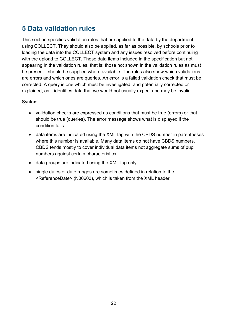## <span id="page-21-0"></span>**5 Data validation rules**

This section specifies validation rules that are applied to the data by the department, using COLLECT. They should also be applied, as far as possible, by schools prior to loading the data into the COLLECT system and any issues resolved before continuing with the upload to COLLECT. Those data items included in the specification but not appearing in the validation rules, that is: those not shown in the validation rules as must be present - should be supplied where available. The rules also show which validations are errors and which ones are queries. An error is a failed validation check that must be corrected. A query is one which must be investigated, and potentially corrected or explained, as it identifies data that we would not usually expect and may be invalid.

Syntax:

- validation checks are expressed as conditions that must be true (errors) or that should be true (queries). The error message shows what is displayed if the condition fails
- data items are indicated using the XML tag with the CBDS number in parentheses where this number is available. Many data items do not have CBDS numbers. CBDS tends mostly to cover individual data items not aggregate sums of pupil numbers against certain characteristics
- data groups are indicated using the XML tag only
- single dates or date ranges are sometimes defined in relation to the <ReferenceDate> (N00603), which is taken from the XML header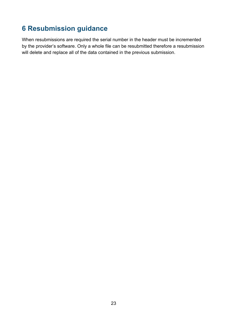## <span id="page-22-0"></span>**6 Resubmission guidance**

When resubmissions are required the serial number in the header must be incremented by the provider's software. Only a whole file can be resubmitted therefore a resubmission will delete and replace all of the data contained in the previous submission.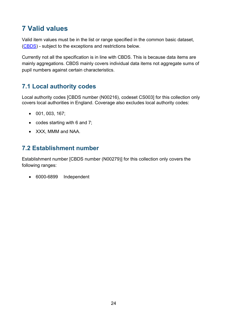## <span id="page-23-0"></span>**7 Valid values**

Valid item values must be in the list or range specified in the common basic dataset, [\(CBDS\)](https://www.gov.uk/government/publications/common-basic-data-set-cbds-database) - subject to the exceptions and restrictions below.

Currently not all the specification is in line with CBDS. This is because data items are mainly aggregations. CBDS mainly covers individual data items not aggregate sums of pupil numbers against certain characteristics.

## <span id="page-23-1"></span>**7.1 Local authority codes**

Local authority codes [CBDS number (N00216), codeset CS003] for this collection only covers local authorities in England. Coverage also excludes local authority codes:

- 001, 003, 167;
- codes starting with 6 and 7;
- XXX, MMM and NAA.

## <span id="page-23-2"></span>**7.2 Establishment number**

Establishment number [CBDS number (N00279)] for this collection only covers the following ranges:

• 6000-6899 Independent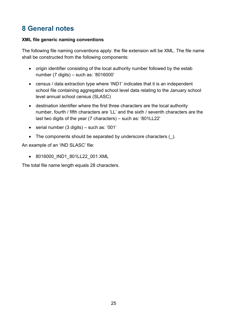## <span id="page-24-0"></span>**8 General notes**

#### **XML file generic naming conventions**

The following file naming conventions apply: the file extension will be XML. The file name shall be constructed from the following components:

- origin identifier consisting of the local authority number followed by the estab number (7 digits) – such as: '8016000'
- census / data extraction type where 'IND1' indicates that it is an independent school file containing aggregated school level data relating to the January school level annual school census (SLASC)
- destination identifier where the first three characters are the local authority number, fourth / fifth characters are 'LL' and the sixth / seventh characters are the last two digits of the year (7 characters) – such as: '801LL22'
- serial number (3 digits) such as: '001'
- The components should be separated by underscore characters ().

An example of an 'IND SLASC' file:

• 8016000\_IND1\_801LL22\_001.XML

The total file name length equals 28 characters.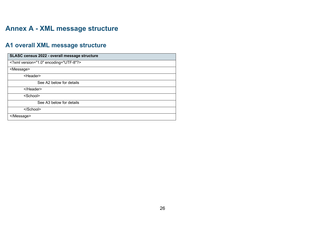## **Annex A - XML message structure**

## **A1 overall XML message structure**

<span id="page-25-1"></span><span id="page-25-0"></span>

| SLASC census 2022 - overall message structure |
|-----------------------------------------------|
| xml version="1.0" encoding="UTF-8"?           |
| <message></message>                           |
| <header></header>                             |
| See A2 below for details                      |
|                                               |
| <school></school>                             |
| See A3 below for details                      |
|                                               |
|                                               |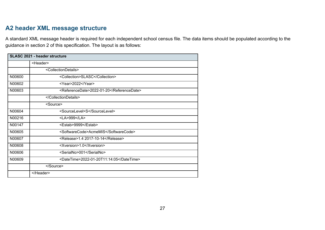## **A2 header XML message structure**

A standard XML message header is required for each independent school census file. The data items should be populated according to the guidance in section 2 of this specification. The layout is as follows:

<span id="page-26-0"></span>

| SLASC 2021 - header structure |                                           |  |
|-------------------------------|-------------------------------------------|--|
|                               | <header></header>                         |  |
|                               | <collectiondetails></collectiondetails>   |  |
| N00600                        | <collection>SLASC</collection>            |  |
| N00602                        | <year>2022</year>                         |  |
| N00603                        | <referencedate>2022-01-20</referencedate> |  |
|                               |                                           |  |
|                               | <source/>                                 |  |
| N00604                        | <sourcelevel>S</sourcelevel>              |  |
| N00216                        | <la>999</la>                              |  |
| N00147                        | <estab>9999</estab>                       |  |
| N00605                        | <softwarecode>AcmeMIS</softwarecode>      |  |
| N00607                        | <release>1.4 2017-10-14</release>         |  |
| N00608                        | <xversion>1.0</xversion>                  |  |
| N00606                        | <serialno>001</serialno>                  |  |
| N00609                        | <datetime>2022-01-20T11:14:05</datetime>  |  |
|                               |                                           |  |
|                               |                                           |  |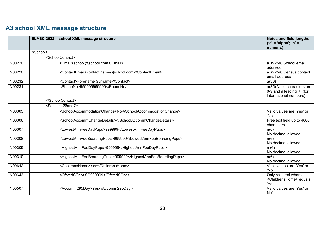## **A3 school XML message structure**

<span id="page-27-0"></span>

|        | SLASC 2022 - school XML message structure                     | <b>Notes and field lengths</b><br>$('a' = 'alpha'; 'n' =$<br>numeric)              |
|--------|---------------------------------------------------------------|------------------------------------------------------------------------------------|
|        | <school></school>                                             |                                                                                    |
|        | <schoolcontact></schoolcontact>                               |                                                                                    |
| N00220 | <email>school@school.com</email>                              | a, n(254) School email<br>address                                                  |
| N00220 | <contactemail>contact.name@school.com</contactemail>          | a, n(254) Census contact<br>email address                                          |
| N00232 | <contact>Forename Surname</contact>                           | a(30)                                                                              |
| N00231 | <phoneno>999999999999</phoneno>                               | a(35) Valid characters are<br>0-9 and a leading '+' (for<br>international numbers) |
|        |                                                               |                                                                                    |
|        | <section126and7></section126and7>                             |                                                                                    |
| N00305 | <schoolaccommodationchange>No</schoolaccommodationchange>     | Valid values are 'Yes' or<br>'No                                                   |
| N00306 | <schoolaccommchangedetails></schoolaccommchangedetails>       | Free text field up to 4000<br>characters                                           |
| N00307 | <lowestannfeedaypups>999999</lowestannfeedaypups>             | n(6)<br>No decimal allowed                                                         |
| N00308 | <lowestannfeeboardingpups>999999</lowestannfeeboardingpups>   | n(6)<br>No decimal allowed                                                         |
| N00309 | <highestannfeedaypups>999999</highestannfeedaypups>           | n(6)<br>No decimal allowed                                                         |
| N00310 | <highestannfeeboardingpups>999999</highestannfeeboardingpups> | n(6)<br>No decimal allowed                                                         |
| N00642 | <childrenshome>Yes</childrenshome>                            | Valid values are 'Yes' or<br>'No                                                   |
| N00643 | <ofstedscno>SC999999</ofstedscno>                             | Only required where<br><childrenshome> equals<br/>'Yes'</childrenshome>            |
| N00507 | <accomm295day>Yes</accomm295day>                              | Valid values are 'Yes' or<br>No'                                                   |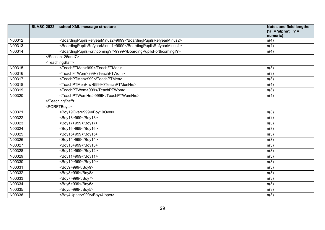|        | SLASC 2022 - school XML message structure                       | <b>Notes and field lengths</b><br>$('a' = 'alpha'; 'n' =$<br>numeric) |
|--------|-----------------------------------------------------------------|-----------------------------------------------------------------------|
| N00312 | <boardingpupilsrefyearminus2>9999</boardingpupilsrefyearminus2> | n(4)                                                                  |
| N00313 | <boardingpupilsrefyearminus1>9999</boardingpupilsrefyearminus1> | n(4)                                                                  |
| N00314 | <boardingpupilsforthcomingyr>9999</boardingpupilsforthcomingyr> | n(4)                                                                  |
|        |                                                                 |                                                                       |
|        | <teachingstaff></teachingstaff>                                 |                                                                       |
| N00315 | <teachftmen>999</teachftmen>                                    | n(3)                                                                  |
| N00316 | <teachftwom>999</teachftwom>                                    | n(3)                                                                  |
| N00317 | <teachptmen>999</teachptmen>                                    | n(3)                                                                  |
| N00318 | <teachptmenhrs>9999</teachptmenhrs>                             | n(4)                                                                  |
| N00319 | <teachptwom>999</teachptwom>                                    | n(3)                                                                  |
| N00320 | <teachptwomhrs>9999</teachptwomhrs>                             | n(4)                                                                  |
|        |                                                                 |                                                                       |
|        | <porftboys></porftboys>                                         |                                                                       |
| N00321 | <boy19over>999</boy19over>                                      | n(3)                                                                  |
| N00322 | <boy18>999</boy18>                                              | n(3)                                                                  |
| N00323 | <boy17>999</boy17>                                              | n(3)                                                                  |
| N00324 | <boy16>999</boy16>                                              | n(3)                                                                  |
| N00325 | <boy15>999</boy15>                                              | n(3)                                                                  |
| N00326 | <boy14>999</boy14>                                              | n(3)                                                                  |
| N00327 | <boy13>999</boy13>                                              | n(3)                                                                  |
| N00328 | <boy12>999</boy12>                                              | n(3)                                                                  |
| N00329 | <boy11>999</boy11>                                              | n(3)                                                                  |
| N00330 | <boy10>999</boy10>                                              | n(3)                                                                  |
| N00331 | <boy9>999</boy9>                                                | n(3)                                                                  |
| N00332 | <boy8>999</boy8>                                                | n(3)                                                                  |
| N00333 | <boy7>999</boy7>                                                | n(3)                                                                  |
| N00334 | <boy6>999</boy6>                                                | n(3)                                                                  |
| N00335 | <boy5>999</boy5>                                                | n(3)                                                                  |
| N00336 | <boy4upper>999</boy4upper>                                      | n(3)                                                                  |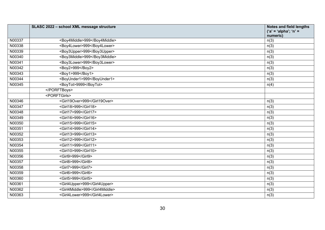|        | SLASC 2022 - school XML message structure | <b>Notes and field lengths</b><br>$('a' = 'alpha'; 'n' =$<br>numeric) |
|--------|-------------------------------------------|-----------------------------------------------------------------------|
| N00337 | <boy4middle>999</boy4middle>              | n(3)                                                                  |
| N00338 | <boy4lower>999</boy4lower>                | n(3)                                                                  |
| N00339 | <boy3upper>999</boy3upper>                | n(3)                                                                  |
| N00340 | <boy3middle>999</boy3middle>              | n(3)                                                                  |
| N00341 | <boy3lower>999</boy3lower>                | n(3)                                                                  |
| N00342 | <boy2>999</boy2>                          | n(3)                                                                  |
| N00343 | <boy1>999</boy1>                          | n(3)                                                                  |
| N00344 | <boyunder1>999</boyunder1>                | n(3)                                                                  |
| N00345 | <boytot>9999</boytot>                     | n(4)                                                                  |
|        |                                           |                                                                       |
|        | <porftgirls></porftgirls>                 |                                                                       |
| N00346 | <girl19over>999</girl19over>              | n(3)                                                                  |
| N00347 | <girl18>999</girl18>                      | n(3)                                                                  |
| N00348 | <girl17>999</girl17>                      | n(3)                                                                  |
| N00349 | <girl16>999</girl16>                      | n(3)                                                                  |
| N00350 | <girl15>999</girl15>                      | n(3)                                                                  |
| N00351 | <girl14>999</girl14>                      | n(3)                                                                  |
| N00352 | <girl13>999</girl13>                      | n(3)                                                                  |
| N00353 | <girl12>999</girl12>                      | n(3)                                                                  |
| N00354 | <girl11>999</girl11>                      | n(3)                                                                  |
| N00355 | <girl10>999</girl10>                      | n(3)                                                                  |
| N00356 | <girl9>999</girl9>                        | n(3)                                                                  |
| N00357 | <girl8>999</girl8>                        | n(3)                                                                  |
| N00358 | <girl7>999</girl7>                        | n(3)                                                                  |
| N00359 | <girl6>999</girl6>                        | n(3)                                                                  |
| N00360 | <girl5>999</girl5>                        | n(3)                                                                  |
| N00361 | <girl4upper>999</girl4upper>              | n(3)                                                                  |
| N00362 | <girl4middle>999</girl4middle>            | n(3)                                                                  |
| N00363 | <girl4lower>999</girl4lower>              | n(3)                                                                  |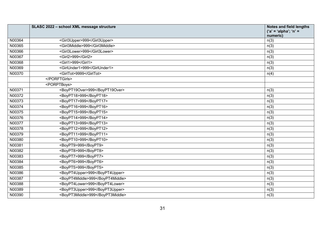|        | SLASC 2022 - school XML message structure | <b>Notes and field lengths</b><br>$('a' = 'alpha'; 'n' =$<br>numeric) |
|--------|-------------------------------------------|-----------------------------------------------------------------------|
| N00364 | <girl3upper>999</girl3upper>              | n(3)                                                                  |
| N00365 | <girl3middle>999</girl3middle>            | n(3)                                                                  |
| N00366 | <girl3lower>999</girl3lower>              | n(3)                                                                  |
| N00367 | <girl2>999</girl2>                        | n(3)                                                                  |
| N00368 | <girl1>999</girl1>                        | n(3)                                                                  |
| N00369 | <girlunder1>999</girlunder1>              | n(3)                                                                  |
| N00370 | <girltot>9999</girltot>                   | n(4)                                                                  |
|        |                                           |                                                                       |
|        | <porptboys></porptboys>                   |                                                                       |
| N00371 | <boypt19over>999</boypt19over>            | n(3)                                                                  |
| N00372 | <boypt18>999</boypt18>                    | n(3)                                                                  |
| N00373 | <boypt17>999</boypt17>                    | n(3)                                                                  |
| N00374 | <boypt16>999</boypt16>                    | n(3)                                                                  |
| N00375 | <boypt15>999</boypt15>                    | n(3)                                                                  |
| N00376 | <boypt14>999</boypt14>                    | n(3)                                                                  |
| N00377 | <boypt13>999</boypt13>                    | n(3)                                                                  |
| N00378 | <boypt12>999</boypt12>                    | n(3)                                                                  |
| N00379 | <boypt11>999</boypt11>                    | n(3)                                                                  |
| N00380 | <boypt10>999</boypt10>                    | n(3)                                                                  |
| N00381 | <boypt9>999</boypt9>                      | n(3)                                                                  |
| N00382 | <boypt8>999</boypt8>                      | n(3)                                                                  |
| N00383 | <boypt7>999</boypt7>                      | n(3)                                                                  |
| N00384 | <boypt6>999</boypt6>                      | n(3)                                                                  |
| N00385 | <boypt5>999</boypt5>                      | n(3)                                                                  |
| N00386 | <boypt4upper>999</boypt4upper>            | n(3)                                                                  |
| N00387 | <boypt4middle>999</boypt4middle>          | n(3)                                                                  |
| N00388 | <boypt4lower>999</boypt4lower>            | n(3)                                                                  |
| N00389 | <boypt3upper>999</boypt3upper>            | n(3)                                                                  |
| N00390 | <boypt3middle>999</boypt3middle>          | n(3)                                                                  |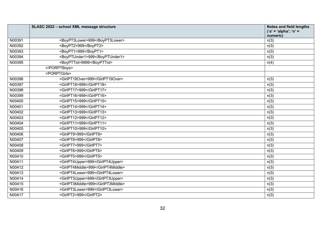|        | SLASC 2022 - school XML message structure | <b>Notes and field lengths</b><br>$('a' = 'alpha'; 'n' =$<br>numeric) |
|--------|-------------------------------------------|-----------------------------------------------------------------------|
| N00391 | <boypt3lower>999</boypt3lower>            | n(3)                                                                  |
| N00392 | <boypt2>999</boypt2>                      | n(3)                                                                  |
| N00393 | <boypt1>999</boypt1>                      | n(3)                                                                  |
| N00394 | <boyptunder1>999</boyptunder1>            | n(3)                                                                  |
| N00395 | <boypttot>9999</boypttot>                 | n(4)                                                                  |
|        |                                           |                                                                       |
|        | <porptgirls></porptgirls>                 |                                                                       |
| N00396 | <girlpt19over>999</girlpt19over>          | n(3)                                                                  |
| N00397 | <girlpt18>999</girlpt18>                  | n(3)                                                                  |
| N00398 | <girlpt17>999</girlpt17>                  | n(3)                                                                  |
| N00399 | <girlpt16>999</girlpt16>                  | n(3)                                                                  |
| N00400 | <girlpt15>999</girlpt15>                  | n(3)                                                                  |
| N00401 | <girlpt14>999</girlpt14>                  | n(3)                                                                  |
| N00402 | <girlpt13>999</girlpt13>                  | n(3)                                                                  |
| N00403 | <girlpt12>999</girlpt12>                  | n(3)                                                                  |
| N00404 | <girlpt11>999</girlpt11>                  | n(3)                                                                  |
| N00405 | <girlpt10>999</girlpt10>                  | n(3)                                                                  |
| N00406 | <girlpt9>999</girlpt9>                    | n(3)                                                                  |
| N00407 | <girlpt8>999</girlpt8>                    | n(3)                                                                  |
| N00408 | <girlpt7>999</girlpt7>                    | n(3)                                                                  |
| N00409 | <girlpt6>999</girlpt6>                    | n(3)                                                                  |
| N00410 | <girlpt5>999</girlpt5>                    | n(3)                                                                  |
| N00411 | <girlpt4upper>999</girlpt4upper>          | n(3)                                                                  |
| N00412 | <girlpt4middle>999</girlpt4middle>        | n(3)                                                                  |
| N00413 | <girlpt4lower>999</girlpt4lower>          | n(3)                                                                  |
| N00414 | <girlpt3upper>999</girlpt3upper>          | n(3)                                                                  |
| N00415 | <girlpt3middle>999</girlpt3middle>        | n(3)                                                                  |
| N00416 | <girlpt3lower>999</girlpt3lower>          | n(3)                                                                  |
| N00417 | <girlpt2>999</girlpt2>                    | n(3)                                                                  |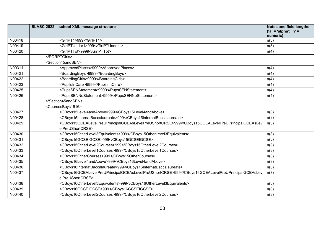|        | SLASC 2022 - school XML message structure                                                                                     | <b>Notes and field lengths</b><br>('a' = 'alpha'; 'n' = |
|--------|-------------------------------------------------------------------------------------------------------------------------------|---------------------------------------------------------|
|        |                                                                                                                               | numeric)                                                |
| N00418 | <girlpt1>999</girlpt1>                                                                                                        | n(3)                                                    |
| N00419 | <girlptunder1>999</girlptunder1>                                                                                              | n(3)                                                    |
| N00420 | <girlpttot>9999</girlpttot>                                                                                                   | n(4)                                                    |
|        |                                                                                                                               |                                                         |
|        | <section45andsen></section45andsen>                                                                                           |                                                         |
| N00311 | <approvedplaces>9999</approvedplaces>                                                                                         | n(4)                                                    |
| N00421 | <boardingboys>9999</boardingboys>                                                                                             | n(4)                                                    |
| N00422 | <boardinggirls>9999</boardinggirls>                                                                                           | n(4)                                                    |
| N00423 | <pupilsincare>9999</pupilsincare>                                                                                             | n(4)                                                    |
| N00425 | <pupssenstatement>9999</pupssenstatement>                                                                                     | n(4)                                                    |
| N00426 | <pupssennostatement>9999</pupssennostatement>                                                                                 | n(4)                                                    |
|        |                                                                                                                               |                                                         |
|        | <coursesboys1516></coursesboys1516>                                                                                           |                                                         |
| N00427 | <cboys15level4andabove>999</cboys15level4andabove>                                                                            | n(3)                                                    |
| N00428 | <cboys15internatbaccalaureate>999</cboys15internatbaccalaureate>                                                              | n(3)                                                    |
| N00429 | <cboys15gcealevelpreuprincipalgceaslevelpreushortcrse>999<td>n(3)</td></cboys15gcealevelpreuprincipalgceaslevelpreushortcrse> | n(3)                                                    |
|        | elPreUShortCRSE>                                                                                                              |                                                         |
| N00430 | <cboys15otherlevel3equivalents>999</cboys15otherlevel3equivalents>                                                            | n(3)                                                    |
| N00431 | <cboys15gcseigcse>999</cboys15gcseigcse>                                                                                      | n(3)                                                    |
| N00432 | <cboys15otherlevel2courses>999</cboys15otherlevel2courses>                                                                    | n(3)                                                    |
| N00433 | <cboys15otherlevel1courses>999</cboys15otherlevel1courses>                                                                    | n(3)                                                    |
| N00434 | <cboys15othercourses>999</cboys15othercourses>                                                                                | n(3)                                                    |
| N00435 | <cboys16level4andabove>999</cboys16level4andabove>                                                                            | n(3)                                                    |
| N00436 | <cboys16internatbaccalaureate>999</cboys16internatbaccalaureate>                                                              | n(3)                                                    |
| N00437 | <cboys16gcealevelpreuprincipalgceaslevelpreushortcrse>999<td>n(3)</td></cboys16gcealevelpreuprincipalgceaslevelpreushortcrse> | n(3)                                                    |
|        | elPreUShortCRSE>                                                                                                              |                                                         |
| N00438 | <cboys16otherlevel3equivalents>999</cboys16otherlevel3equivalents>                                                            | n(3)                                                    |
| N00439 | <cboys16gcseigcse>999</cboys16gcseigcse>                                                                                      | n(3)                                                    |
| N00440 | <cboys16otherlevel2courses>999</cboys16otherlevel2courses>                                                                    | n(3)                                                    |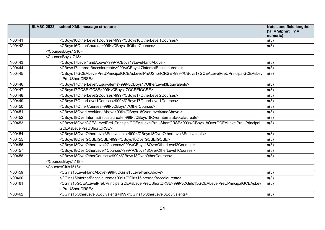|        | SLASC 2022 - school XML message structure                                                                                             | <b>Notes and field lengths</b><br>('a' = 'alpha'; 'n' =<br>numeric) |
|--------|---------------------------------------------------------------------------------------------------------------------------------------|---------------------------------------------------------------------|
| N00441 | <cboys16otherlevel1courses>999</cboys16otherlevel1courses>                                                                            | n(3)                                                                |
| N00442 | <cboys16othercourses>999</cboys16othercourses>                                                                                        | n(3)                                                                |
|        |                                                                                                                                       |                                                                     |
|        | <coursesboys1718></coursesboys1718>                                                                                                   |                                                                     |
| N00443 | <cboys17level4andabove>999</cboys17level4andabove>                                                                                    | n(3)                                                                |
| N00444 | <cboys17internatbaccalaureate>999</cboys17internatbaccalaureate>                                                                      | n(3)                                                                |
| N00445 | <cboys17gcealevelpreuprincipalgceaslevelpreushortcrse>999<td>n(3)</td></cboys17gcealevelpreuprincipalgceaslevelpreushortcrse>         | n(3)                                                                |
|        | elPreUShortCRSE>                                                                                                                      |                                                                     |
| N00446 | <cboys17otherlevel3equivalents>999</cboys17otherlevel3equivalents>                                                                    | n(3)                                                                |
| N00447 | <cboys17gcseigcse>999</cboys17gcseigcse>                                                                                              | n(3)                                                                |
| N00448 | <cboys17otherlevel2courses>999</cboys17otherlevel2courses>                                                                            | n(3)                                                                |
| N00449 | <cboys17otherlevel1courses>999</cboys17otherlevel1courses>                                                                            | n(3)                                                                |
| N00450 | <cboys17othercourses>999</cboys17othercourses>                                                                                        | n(3)                                                                |
| N00451 | <cboys18overlevel4andabove>999</cboys18overlevel4andabove>                                                                            | n(3)                                                                |
| N00452 | <cboys18overinternatbaccalaureate>999</cboys18overinternatbaccalaureate>                                                              | n(3)                                                                |
| N00453 | <cboys18overgcealevelpreuprincipalgceaslevelpreushortcrse>999<td>n(3)</td></cboys18overgcealevelpreuprincipalgceaslevelpreushortcrse> | n(3)                                                                |
|        | GCEAsLevelPreUShortCRSE>                                                                                                              |                                                                     |
| N00454 | <cboys18overotherlevel3equivalents>999</cboys18overotherlevel3equivalents>                                                            | n(3)                                                                |
| N00455 | <cboys18overgcseigcse>999</cboys18overgcseigcse>                                                                                      | n(3)                                                                |
| N00456 | <cboys18overotherlevel2courses>999</cboys18overotherlevel2courses>                                                                    | n(3)                                                                |
| N00457 | <cboys18overotherlevel1courses>999</cboys18overotherlevel1courses>                                                                    | n(3)                                                                |
| N00458 | <cboys18overothercourses>999</cboys18overothercourses>                                                                                | n(3)                                                                |
|        |                                                                                                                                       |                                                                     |
|        | <coursesgirls1516></coursesgirls1516>                                                                                                 |                                                                     |
| N00459 | <cgirls15level4andabove>999</cgirls15level4andabove>                                                                                  | n(3)                                                                |
| N00460 | <cgirls15internatbaccalaureate>999</cgirls15internatbaccalaureate>                                                                    | n(3)                                                                |
| N00461 | <cgirls15gcealevelpreuprincipalgceaslevelpreushortcrse>999elPreUShortCRSE&gt;</cgirls15gcealevelpreuprincipalgceaslevelpreushortcrse> | n(3)                                                                |
| N00462 | <cgirls15otherlevel3equivalents>999</cgirls15otherlevel3equivalents>                                                                  | n(3)                                                                |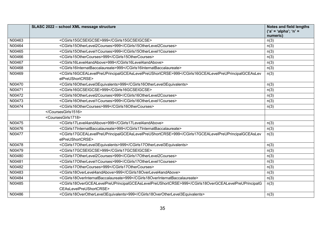|        | SLASC 2022 - school XML message structure                                                                                                            | <b>Notes and field lengths</b><br>$('a' = 'alpha'; 'n' =$<br>numeric) |
|--------|------------------------------------------------------------------------------------------------------------------------------------------------------|-----------------------------------------------------------------------|
| N00463 | <cgirls15gcseigcse>999</cgirls15gcseigcse>                                                                                                           | n(3)                                                                  |
| N00464 | <cgirls15otherlevel2courses>999</cgirls15otherlevel2courses>                                                                                         | n(3)                                                                  |
| N00465 | <cgirls15otherlevel1courses>999</cgirls15otherlevel1courses>                                                                                         | n(3)                                                                  |
| N00466 | <cgirls15othercourses>999</cgirls15othercourses>                                                                                                     | n(3)                                                                  |
| N00467 | <cgirls16level4andabove>999</cgirls16level4andabove>                                                                                                 | n(3)                                                                  |
| N00468 | <cgirls16internatbaccalaureate>999</cgirls16internatbaccalaureate>                                                                                   | n(3)                                                                  |
| N00469 | <cgirls16gcealevelpreuprincipalgceaslevelpreushortcrse>999<td>n(3)</td></cgirls16gcealevelpreuprincipalgceaslevelpreushortcrse>                      | n(3)                                                                  |
|        | elPreUShortCRSE>                                                                                                                                     |                                                                       |
| N00470 | <cgirls16otherlevel3equivalents>999</cgirls16otherlevel3equivalents>                                                                                 | n(3)                                                                  |
| N00471 | <cgirls16gcseigcse>999</cgirls16gcseigcse>                                                                                                           | n(3)                                                                  |
| N00472 | <cgirls16otherlevel2courses>999</cgirls16otherlevel2courses>                                                                                         | n(3)                                                                  |
| N00473 | <cgirls16otherlevel1courses>999</cgirls16otherlevel1courses>                                                                                         | n(3)                                                                  |
| N00474 | <cgirls16othercourses>999</cgirls16othercourses>                                                                                                     | n(3)                                                                  |
|        |                                                                                                                                                      |                                                                       |
|        | <coursesgirls1718></coursesgirls1718>                                                                                                                |                                                                       |
| N00475 | <cgirls17level4andabove>999</cgirls17level4andabove>                                                                                                 | n(3)                                                                  |
| N00476 | <cgirls17internatbaccalaureate>999</cgirls17internatbaccalaureate>                                                                                   | n(3)                                                                  |
| N00477 | <cgirls17gcealevelpreuprincipalgceaslevelpreushortcrse>999<td>n(3)</td></cgirls17gcealevelpreuprincipalgceaslevelpreushortcrse>                      | n(3)                                                                  |
|        | elPreUShortCRSE>                                                                                                                                     |                                                                       |
| N00478 | <cgirls17otherlevel3equivalents>999</cgirls17otherlevel3equivalents>                                                                                 | n(3)                                                                  |
| N00479 | <cgirls17gcseigcse>999</cgirls17gcseigcse>                                                                                                           | n(3)                                                                  |
| N00480 | <cgirls17otherlevel2courses>999</cgirls17otherlevel2courses>                                                                                         | n(3)                                                                  |
| N00481 | <cgirls17otherlevel1courses>999</cgirls17otherlevel1courses>                                                                                         | n(3)                                                                  |
| N00482 | <cgirls17othercourses>999</cgirls17othercourses>                                                                                                     | n(3)                                                                  |
| N00483 | <cgirls18overlevel4andabove>999</cgirls18overlevel4andabove>                                                                                         | n(3)                                                                  |
| N00484 | <cgirls18overinternatbaccalaureate>999</cgirls18overinternatbaccalaureate>                                                                           | n(3)                                                                  |
| N00485 | <cgirls18overgcealevelpreuprincipalgceaslevelpreushortcrse>999CEAsLevelPreUShortCRSE&gt;</cgirls18overgcealevelpreuprincipalgceaslevelpreushortcrse> | n(3)                                                                  |
| N00486 | <cgirls18overotherlevel3equivalents>999</cgirls18overotherlevel3equivalents>                                                                         | n(3)                                                                  |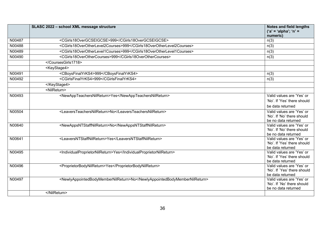|        | SLASC 2022 - school XML message structure                                 | Notes and field lengths<br>$('a' = 'alpha'; 'n' =$       |
|--------|---------------------------------------------------------------------------|----------------------------------------------------------|
|        |                                                                           | numeric)                                                 |
| N00487 | <cgirls18overgcseigcse>999</cgirls18overgcseigcse>                        | n(3)                                                     |
| N00488 | <cgirls18overotherlevel2courses>999</cgirls18overotherlevel2courses>      | n(3)                                                     |
| N00489 | <cgirls18overotherlevel1courses>999</cgirls18overotherlevel1courses>      | n(3)                                                     |
| N00490 | <cgirls18overothercourses>999</cgirls18overothercourses>                  | n(3)                                                     |
|        |                                                                           |                                                          |
|        | <keystage4></keystage4>                                                   |                                                          |
| N00491 | <cboysfinalyrks4>999</cboysfinalyrks4>                                    | n(3)                                                     |
| N00492 | <cgirlsfinalyrks4>999</cgirlsfinalyrks4>                                  | n(3)                                                     |
|        |                                                                           |                                                          |
|        | <nilreturn></nilreturn>                                                   |                                                          |
| N00493 | <newappteachersnilreturn>Yes</newappteachersnilreturn>                    | Valid values are 'Yes' or                                |
|        |                                                                           | 'No'. If 'Yes' there should                              |
|        |                                                                           | be data returned                                         |
| N00504 | <leaversteachersnilreturn>No</leaversteachersnilreturn>                   | Valid values are 'Yes' or                                |
|        |                                                                           | 'No'. If 'No' there should                               |
| N00640 | <newappsntstaffnilreturn>No</newappsntstaffnilreturn>                     | be no data returned<br>Valid values are 'Yes' or         |
|        |                                                                           | 'No'. If 'No' there should                               |
|        |                                                                           | be no data returned                                      |
| N00641 | <leaversntstaffnilreturn>Yes</leaversntstaffnilreturn>                    | Valid values are 'Yes' or                                |
|        |                                                                           | 'No'. If 'Yes' there should                              |
|        |                                                                           | be data returned                                         |
| N00495 | <individualproprietornilreturn>Yes</individualproprietornilreturn>        | Valid values are 'Yes' or<br>'No'. If 'Yes' there should |
|        |                                                                           | be data returned                                         |
| N00496 | <proprietorbodynilreturn>Yes</proprietorbodynilreturn>                    | Valid values are 'Yes' or                                |
|        |                                                                           | 'No'. If 'Yes' there should                              |
|        |                                                                           | be data returned                                         |
| N00497 | <newlyappointedbodymembernilreturn>No</newlyappointedbodymembernilreturn> | Valid values are 'Yes' or                                |
|        |                                                                           | 'No'. If 'No' there should                               |
|        |                                                                           | be no data returned                                      |
|        |                                                                           |                                                          |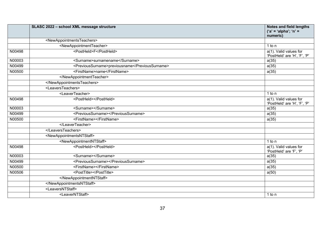|        | SLASC 2022 - school XML message structure           | <b>Notes and field lengths</b><br>('a' = 'alpha'; 'n' =<br>numeric) |
|--------|-----------------------------------------------------|---------------------------------------------------------------------|
|        | <newappointmentsteachers></newappointmentsteachers> |                                                                     |
|        | <newappointmentteacher></newappointmentteacher>     | 1 to n                                                              |
| N00498 | <postheld>F</postheld>                              | a(1). Valid values for                                              |
|        |                                                     | 'PostHeld' are 'H', 'F', 'P'                                        |
| N00003 | <surname>surnamename</surname>                      | a(35)                                                               |
| N00499 | <previoussurname>previousname</previoussurname>     | a(35)                                                               |
| N00500 | <firstname>name</firstname>                         | a(35)                                                               |
|        |                                                     |                                                                     |
|        |                                                     |                                                                     |
|        | <leaversteachers></leaversteachers>                 |                                                                     |
|        | <leaverteacher></leaverteacher>                     | 1 to n                                                              |
| N00498 | <postheld></postheld>                               | a(1). Valid values for<br>'PostHeld' are 'H', 'F', 'P'              |
| N00003 | <surname></surname>                                 | a(35)                                                               |
| N00499 | <previoussurname></previoussurname>                 | a(35)                                                               |
| N00500 | <firstname></firstname>                             | a(35)                                                               |
|        |                                                     |                                                                     |
|        |                                                     |                                                                     |
|        | <newappointmentsntstaff></newappointmentsntstaff>   |                                                                     |
|        | <newappointmentntstaff></newappointmentntstaff>     | $1$ to n                                                            |
| N00498 | <postheld></postheld>                               | $a(1)$ . Valid values for<br>'PostHeld' are 'F', 'P'                |
| N00003 | <surname></surname>                                 | a(35)                                                               |
| N00499 | <previoussurname></previoussurname>                 | a(35)                                                               |
| N00500 | <firstname></firstname>                             | a(35)                                                               |
| N00506 | <posttitle></posttitle>                             | a(50)                                                               |
|        |                                                     |                                                                     |
|        |                                                     |                                                                     |
|        | <leaversntstaff></leaversntstaff>                   |                                                                     |
|        | <leaverntstaff></leaverntstaff>                     | 1 to n                                                              |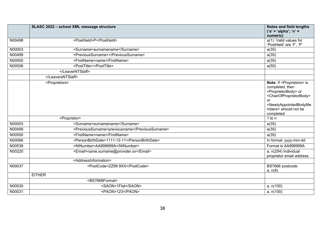|        | SLASC 2022 - school XML message structure       | <b>Notes and field lengths</b>                                                                                                                                                                                                                               |
|--------|-------------------------------------------------|--------------------------------------------------------------------------------------------------------------------------------------------------------------------------------------------------------------------------------------------------------------|
|        |                                                 | $('a' = 'alpha'; 'n' =$                                                                                                                                                                                                                                      |
| N00498 | <postheld>P</postheld>                          | numeric)                                                                                                                                                                                                                                                     |
|        |                                                 | a(1). Valid values for<br>'PostHeld' are 'F', 'P'                                                                                                                                                                                                            |
| N00003 | <surname>surnamename</surname>                  | a(35)                                                                                                                                                                                                                                                        |
| N00499 | <previoussurname></previoussurname>             | a(35)                                                                                                                                                                                                                                                        |
| N00500 | <firstname>name</firstname>                     | a(35)                                                                                                                                                                                                                                                        |
| N00506 | <posttitle></posttitle>                         | a(50)                                                                                                                                                                                                                                                        |
|        |                                                 |                                                                                                                                                                                                                                                              |
|        |                                                 |                                                                                                                                                                                                                                                              |
|        | <proprietors></proprietors>                     | Note: If <proprietors> is<br/>completed, then<br/><proprietorbody> or<br/><chairofproprietorbody><br/>or<br/><newlyappointedbodyme<br>mbers&gt; should not be<br/>completed</newlyappointedbodyme<br></chairofproprietorbody></proprietorbody></proprietors> |
|        | <proprietor></proprietor>                       | 1 to n                                                                                                                                                                                                                                                       |
| N00003 | <surname>surnamename</surname>                  | a(35)                                                                                                                                                                                                                                                        |
| N00499 | <previoussurname>previousname</previoussurname> | a(35)                                                                                                                                                                                                                                                        |
| N00500 | <firstname>name</firstname>                     | a(35)                                                                                                                                                                                                                                                        |
| N00066 | <personbirthdate>1111-12-11</personbirthdate>   | In format: yyyy-mm-dd                                                                                                                                                                                                                                        |
| N00538 | <ninumber>AA999999A</ninumber>                  | Format is AA999999A                                                                                                                                                                                                                                          |
| N00220 | <email>name.surname@provider.xx</email>         | a, n(254) Individual<br>proprietor email address                                                                                                                                                                                                             |
|        | <addressinformation></addressinformation>       |                                                                                                                                                                                                                                                              |
| N00037 | <postcode>ZZ99 9XX</postcode>                   | BS7666 postcode<br>a, n(8)                                                                                                                                                                                                                                   |
|        | <b>EITHER</b>                                   |                                                                                                                                                                                                                                                              |
|        | <bs7666format></bs7666format>                   |                                                                                                                                                                                                                                                              |
| N00030 | <saon>1Flat</saon>                              | a, n(100)                                                                                                                                                                                                                                                    |
| N00031 | <paon>123</paon>                                | a, n(100)                                                                                                                                                                                                                                                    |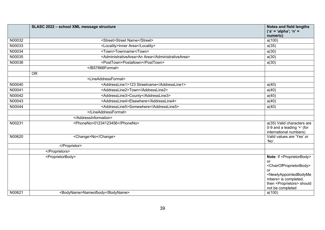|        | SLASC 2022 - school XML message structure        | <b>Notes and field lengths</b><br>$('a' = 'alpha'; 'n' =$<br>numeric)                                                                                                                                                                                        |
|--------|--------------------------------------------------|--------------------------------------------------------------------------------------------------------------------------------------------------------------------------------------------------------------------------------------------------------------|
| N00032 | <street>Street Name</street>                     | a(100)                                                                                                                                                                                                                                                       |
| N00033 | <locality>Inner Area</locality>                  | a(35)                                                                                                                                                                                                                                                        |
| N00034 | <town>Townname</town>                            | a(30)                                                                                                                                                                                                                                                        |
| N00035 | <administrativearea>An Area</administrativearea> | a(30)                                                                                                                                                                                                                                                        |
| N00036 | <posttown>Postaltown</posttown>                  | a(30)                                                                                                                                                                                                                                                        |
|        |                                                  |                                                                                                                                                                                                                                                              |
|        | <b>OR</b>                                        |                                                                                                                                                                                                                                                              |
|        | <lineaddressformat></lineaddressformat>          |                                                                                                                                                                                                                                                              |
| N00040 | <addressline1>123 Streetname</addressline1>      | a(40)                                                                                                                                                                                                                                                        |
| N00041 | <addressline2>Town</addressline2>                | a(40)                                                                                                                                                                                                                                                        |
| N00042 | <addressline3>County</addressline3>              | a(40)                                                                                                                                                                                                                                                        |
| N00043 | <addressline4>Elsewhere</addressline4>           | a(40)                                                                                                                                                                                                                                                        |
| N00044 | <addressline5>Somewhere</addressline5>           | a(40)                                                                                                                                                                                                                                                        |
|        |                                                  |                                                                                                                                                                                                                                                              |
|        |                                                  |                                                                                                                                                                                                                                                              |
| N00231 | <phoneno>01234123456</phoneno>                   | a(35) Valid characters are<br>0-9 and a leading '+' (for<br>international numbers)                                                                                                                                                                           |
| N00620 | <change>No</change>                              | Valid values are 'Yes' or<br>'No'.                                                                                                                                                                                                                           |
|        |                                                  |                                                                                                                                                                                                                                                              |
|        |                                                  |                                                                                                                                                                                                                                                              |
|        | <proprietorbody></proprietorbody>                | Note: If <proprietorbody><br/>or<br/><chairofproprietorbody><br/>or<br/><newlyappointedbodyme<br>mbers&gt; is completed,<br/>then <proprietors> should<br/>not be completed</proprietors></newlyappointedbodyme<br></chairofproprietorbody></proprietorbody> |
| N00621 | <bodyname>Nameofbody</bodyname>                  | a(100)                                                                                                                                                                                                                                                       |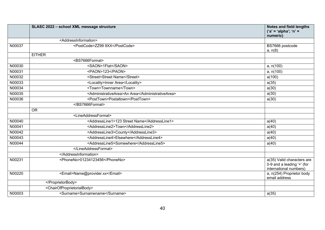|        | SLASC 2022 - school XML message structure             | <b>Notes and field lengths</b><br>('a' = 'alpha'; 'n' =<br>numeric)                |
|--------|-------------------------------------------------------|------------------------------------------------------------------------------------|
|        | <addressinformation></addressinformation>             |                                                                                    |
| N00037 | <postcode>ZZ99 9XX</postcode>                         | BS7666 postcode<br>a, n(8)                                                         |
|        | <b>EITHER</b>                                         |                                                                                    |
|        | <bs7666format></bs7666format>                         |                                                                                    |
| N00030 | <saon>1Flat</saon>                                    | a, n(100)                                                                          |
| N00031 | <paon>123</paon>                                      | a, n(100)                                                                          |
| N00032 | <street>Street Name</street>                          | a(100)                                                                             |
| N00033 | <locality>Inner Area</locality>                       | a(35)                                                                              |
| N00034 | <town>Townname</town>                                 | a(30)                                                                              |
| N00035 | <administrativearea>An Area</administrativearea>      | a(30)                                                                              |
| N00036 | <posttown>Postaltown</posttown>                       | a(30)                                                                              |
|        |                                                       |                                                                                    |
|        | <b>OR</b>                                             |                                                                                    |
|        | <lineaddressformat></lineaddressformat>               |                                                                                    |
| N00040 | <addressline1>123 Street Name</addressline1>          | a(40)                                                                              |
| N00041 | <addressline2>Town</addressline2>                     | a(40)                                                                              |
| N00042 | <addressline3>County</addressline3>                   | a(40)                                                                              |
| N00043 | <addressline4>Elsewhere</addressline4>                | a(40)                                                                              |
| N00044 | <addressline5>Somewhere</addressline5>                | a(40)                                                                              |
|        |                                                       |                                                                                    |
|        |                                                       |                                                                                    |
| N00231 | <phoneno>01234123456</phoneno>                        | a(35) Valid characters are<br>0-9 and a leading '+' (for<br>international numbers) |
| N00220 | <email>Name@provider.xx</email>                       | $\overline{a}$ , n(254) Proprietor body<br>email address                           |
|        |                                                       |                                                                                    |
|        | <chairofproprietorialbody></chairofproprietorialbody> |                                                                                    |
| N00003 | <surname>Surnamename</surname>                        | a(35)                                                                              |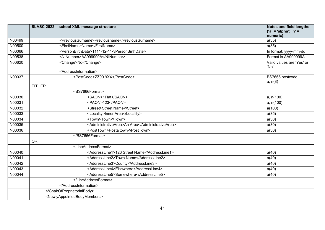|        | SLASC 2022 - school XML message structure               | <b>Notes and field lengths</b><br>('a' = 'alpha'; 'n' = |
|--------|---------------------------------------------------------|---------------------------------------------------------|
|        |                                                         | numeric)                                                |
| N00499 | <previoussurname>Previousname</previoussurname>         | a(35)                                                   |
| N00500 | <firstname>Name</firstname>                             | a(35)                                                   |
| N00066 | <personbirthdate>1111-12-11</personbirthdate>           | In format: yyyy-mm-dd                                   |
| N00538 | <ninumber>AA999999A</ninumber>                          | Format is AA999999A                                     |
| N00620 | <change>No</change>                                     | Valid values are 'Yes' or<br>'No                        |
|        | <addressinformation></addressinformation>               |                                                         |
| N00037 | <postcode>ZZ99 9XX</postcode>                           | BS7666 postcode<br>a, n(8)                              |
|        | <b>EITHER</b>                                           |                                                         |
|        | <bs7666format></bs7666format>                           |                                                         |
| N00030 | <saon>1Flat</saon>                                      | a, n(100)                                               |
| N00031 | <paon>123</paon>                                        | a, n(100)                                               |
| N00032 | <street>Street Name</street>                            | a(100)                                                  |
| N00033 | <locality>Inner Area</locality>                         | a(35)                                                   |
| N00034 | <town>Town</town>                                       | a(30)                                                   |
| N00035 | <administrativearea>An Area</administrativearea>        | a(30)                                                   |
| N00036 | <posttown>Postaltown</posttown>                         | a(30)                                                   |
|        |                                                         |                                                         |
|        | <b>OR</b>                                               |                                                         |
|        | <lineaddressformat></lineaddressformat>                 |                                                         |
| N00040 | <addressline1>123 Street Name</addressline1>            | a(40)                                                   |
| N00041 | <addressline2>Town Name</addressline2>                  | a(40)                                                   |
| N00042 | <addressline3>County</addressline3>                     | a(40)                                                   |
| N00043 | <addressline4>Elsewhere</addressline4>                  | a(40)                                                   |
| N00044 | <addressline5>Somewhere</addressline5>                  | a(40)                                                   |
|        |                                                         |                                                         |
|        |                                                         |                                                         |
|        |                                                         |                                                         |
|        | <newlyappointedbodymembers></newlyappointedbodymembers> |                                                         |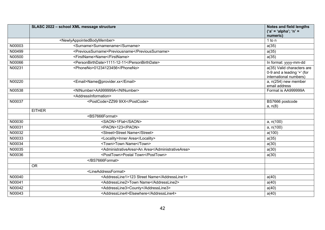|        | SLASC 2022 - school XML message structure             | <b>Notes and field lengths</b><br>('a' = 'alpha'; 'n' =<br>numeric)                  |
|--------|-------------------------------------------------------|--------------------------------------------------------------------------------------|
|        | <newlyappointedbodymember></newlyappointedbodymember> | $1$ to n                                                                             |
| N00003 | <surname>Surnamename</surname>                        | a(35)                                                                                |
| N00499 | <previoussurname>Previousname</previoussurname>       | a(35)                                                                                |
| N00500 | <firstname>Name</firstname>                           | a(35)                                                                                |
| N00066 | <personbirthdate>1111-12-11</personbirthdate>         | In format: yyyy-mm-dd                                                                |
| N00231 | <phoneno>01234123456</phoneno>                        | $a(35)$ Valid characters are<br>0-9 and a leading '+' (for<br>international numbers) |
| N00220 | <email>Name@provider.xx</email>                       | a, $n(254)$ new member<br>email address                                              |
| N00538 | <ninumber>AA999999A</ninumber>                        | Format is AA999999A                                                                  |
|        | <addressinformation></addressinformation>             |                                                                                      |
| N00037 | <postcode>ZZ99 9XX</postcode>                         | BS7666 postcode<br>a, n(8)                                                           |
|        | <b>EITHER</b>                                         |                                                                                      |
|        | <bs7666format></bs7666format>                         |                                                                                      |
| N00030 | <saon>1Flat</saon>                                    | a, n(100)                                                                            |
| N00031 | <paon>123</paon>                                      | a, n(100)                                                                            |
| N00032 | <street>Street Name</street>                          | a(100)                                                                               |
| N00033 | <locality>Inner Area</locality>                       | a(35)                                                                                |
| N00034 | <town>Town Name</town>                                | a(30)                                                                                |
| N00035 | <administrativearea>An Area</administrativearea>      | a(30)                                                                                |
| N00036 | <posttown>Postal Town</posttown>                      | a(30)                                                                                |
|        |                                                       |                                                                                      |
|        | <b>OR</b>                                             |                                                                                      |
|        | <lineaddressformat></lineaddressformat>               |                                                                                      |
| N00040 | <addressline1>123 Street Name</addressline1>          | a(40)                                                                                |
| N00041 | <addressline2>Town Name</addressline2>                | a(40)                                                                                |
| N00042 | <addressline3>County</addressline3>                   | a(40)                                                                                |
| N00043 | <addressline4>Elsewhere</addressline4>                | a(40)                                                                                |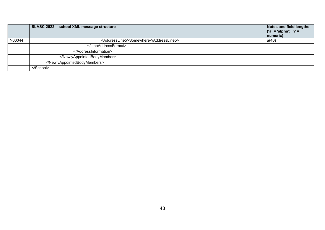|        | SLASC 2022 - school XML message structure | Notes and field lengths<br>$('a' = 'alpha'; 'n' =$<br>numeric) |
|--------|-------------------------------------------|----------------------------------------------------------------|
| N00044 | <addressline5>Somewhere</addressline5>    | a(40)                                                          |
|        |                                           |                                                                |
|        |                                           |                                                                |
|        |                                           |                                                                |
|        |                                           |                                                                |
|        |                                           |                                                                |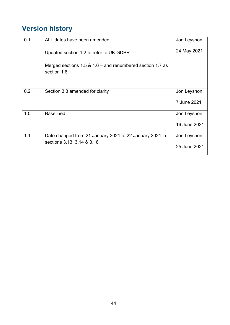## <span id="page-43-0"></span>**Version history**

| 0.1 | ALL dates have been amended.                                                | Jon Leyshon  |
|-----|-----------------------------------------------------------------------------|--------------|
|     | Updated section 1.2 to refer to UK GDPR                                     | 24 May 2021  |
|     | Merged sections $1.5 \& 1.6$ – and renumbered section 1.7 as<br>section 1.6 |              |
| 0.2 | Section 3.3 amended for clarity                                             | Jon Leyshon  |
|     |                                                                             | 7 June 2021  |
| 1.0 | <b>Baselined</b>                                                            | Jon Leyshon  |
|     |                                                                             | 16 June 2021 |
| 1.1 | Date changed from 21 January 2021 to 22 January 2021 in                     | Jon Leyshon  |
|     | sections 3.13, 3.14 & 3.18                                                  | 25 June 2021 |